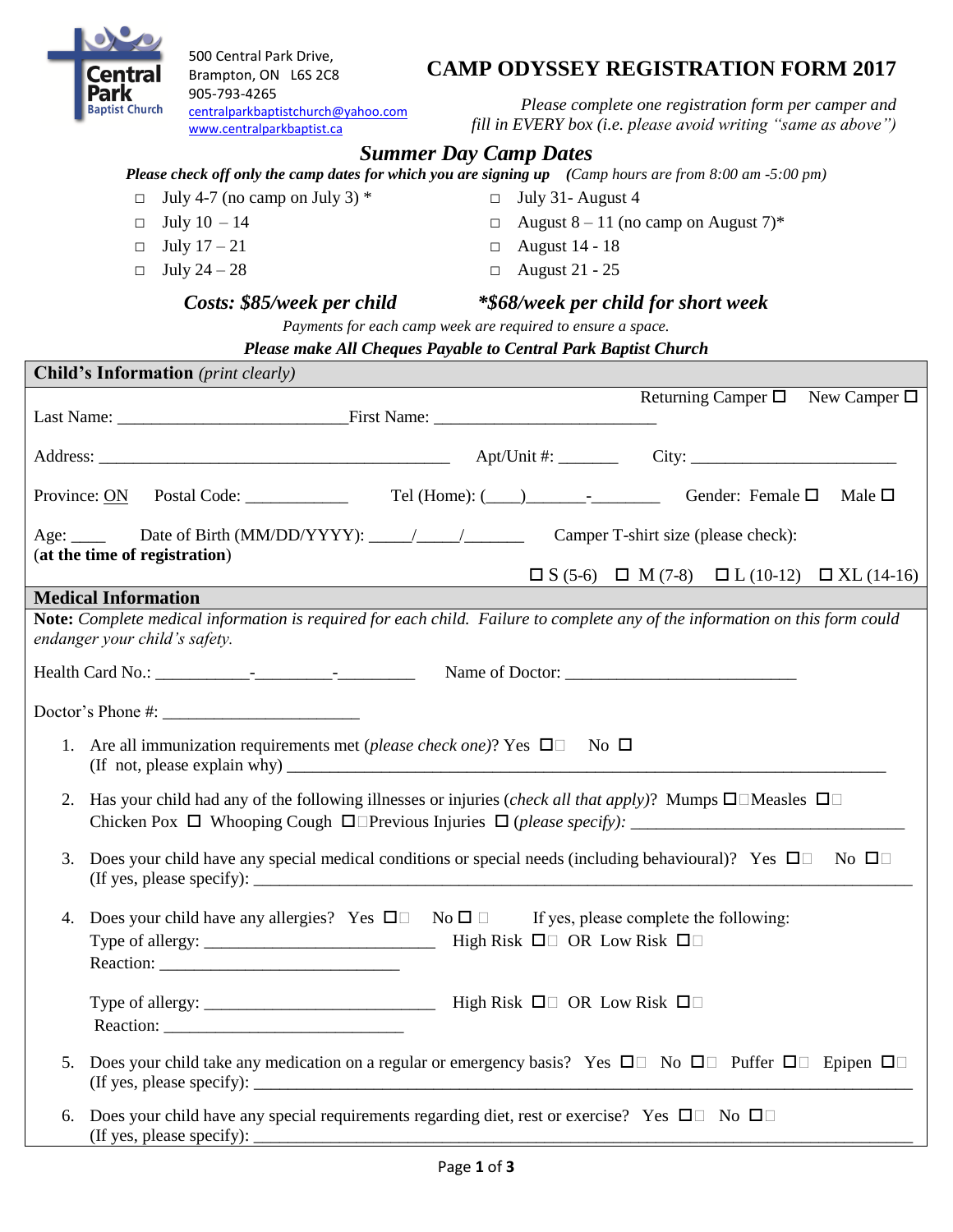

500 Central Park Drive, Brampton, ON L6S 2C8 905-793-4265 [centralparkbaptistchurch@yahoo.com](mailto:centralparkbaptistchurch@yahoo.com) [www.centralparkbaptist.ca](http://www.centralparkbaptist.ca/)

**CAMP ODYSSEY REGISTRATION FORM 2017**

*Please complete one registration form per camper and fill in EVERY box (i.e. please avoid writing "same as above")*

# *Summer Day Camp Dates*

*Please check off only the camp dates for which you are signing up (Camp hours are from 8:00 am -5:00 pm)*

- $\Box$  July 4-7 (no camp on July 3) \*
- $\Box$  July 10 14
- $\Box$  July  $17-21$
- $\Box$  July 24 28
- □ July 31- August 4  $\Box$  August 8 – 11 (no camp on August 7)\*
- □ August 14 18
- □ August 21 25

#### *Costs: \$85/week per child \*\$68/week per child for short week*

*Payments for each camp week are required to ensure a space.*

#### *Please make All Cheques Payable to Central Park Baptist Church*

|                                                                                   | <b>Child's Information</b> (print clearly)                                                                                                                                                                                                                                                                                                                                                                                                                                                                                 |                                                                                                |                |
|-----------------------------------------------------------------------------------|----------------------------------------------------------------------------------------------------------------------------------------------------------------------------------------------------------------------------------------------------------------------------------------------------------------------------------------------------------------------------------------------------------------------------------------------------------------------------------------------------------------------------|------------------------------------------------------------------------------------------------|----------------|
|                                                                                   |                                                                                                                                                                                                                                                                                                                                                                                                                                                                                                                            | Returning Camper $\square$ New Camper $\square$                                                |                |
|                                                                                   |                                                                                                                                                                                                                                                                                                                                                                                                                                                                                                                            |                                                                                                |                |
|                                                                                   | Province: ON Postal Code: ______________ Tel (Home): (___)_______________________ Gender: Female □                                                                                                                                                                                                                                                                                                                                                                                                                         |                                                                                                | Male $\square$ |
|                                                                                   | Age:<br>(at the time of registration)                                                                                                                                                                                                                                                                                                                                                                                                                                                                                      |                                                                                                |                |
|                                                                                   |                                                                                                                                                                                                                                                                                                                                                                                                                                                                                                                            | $\square S (5-6) \quad \square \quad M (7-8) \quad \square L (10-12) \quad \square XL (14-16)$ |                |
|                                                                                   | <b>Medical Information</b>                                                                                                                                                                                                                                                                                                                                                                                                                                                                                                 |                                                                                                |                |
|                                                                                   | Note: Complete medical information is required for each child. Failure to complete any of the information on this form could<br>endanger your child's safety.                                                                                                                                                                                                                                                                                                                                                              |                                                                                                |                |
|                                                                                   |                                                                                                                                                                                                                                                                                                                                                                                                                                                                                                                            |                                                                                                |                |
|                                                                                   | Doctor's Phone #:                                                                                                                                                                                                                                                                                                                                                                                                                                                                                                          |                                                                                                |                |
| 1. Are all immunization requirements met (please check one)? Yes $\Box$ No $\Box$ |                                                                                                                                                                                                                                                                                                                                                                                                                                                                                                                            |                                                                                                |                |
| 2.                                                                                | Has your child had any of the following illnesses or injuries ( <i>check all that apply</i> )? Mumps $\square \square$ Measles $\square \square$                                                                                                                                                                                                                                                                                                                                                                           |                                                                                                |                |
| 3.                                                                                | Does your child have any special medical conditions or special needs (including behavioural)? Yes $\Box$ No $\Box$<br>(If yes, please specify): $\frac{1}{\sqrt{1-\frac{1}{2}}}\left\{1-\frac{1}{2}, \frac{1}{2}, \frac{1}{2}, \frac{1}{2}, \frac{1}{2}, \frac{1}{2}, \frac{1}{2}, \frac{1}{2}, \frac{1}{2}, \frac{1}{2}, \frac{1}{2}, \frac{1}{2}, \frac{1}{2}, \frac{1}{2}, \frac{1}{2}, \frac{1}{2}, \frac{1}{2}, \frac{1}{2}, \frac{1}{2}, \frac{1}{2}, \frac{1}{2}, \frac{1}{2}, \frac{1}{2}, \frac{1}{2}, \frac{1}{$ |                                                                                                |                |
| 4.                                                                                | Does your child have any allergies? Yes $\square \square$ No $\square \square$ If yes, please complete the following:                                                                                                                                                                                                                                                                                                                                                                                                      |                                                                                                |                |
|                                                                                   |                                                                                                                                                                                                                                                                                                                                                                                                                                                                                                                            |                                                                                                |                |
| 5.                                                                                | Does your child take any medication on a regular or emergency basis? Yes $\Box$ No $\Box$ Puffer $\Box$ Epipen $\Box$                                                                                                                                                                                                                                                                                                                                                                                                      |                                                                                                |                |
| 6.                                                                                | Does your child have any special requirements regarding diet, rest or exercise? Yes $\Box$ No $\Box$                                                                                                                                                                                                                                                                                                                                                                                                                       |                                                                                                |                |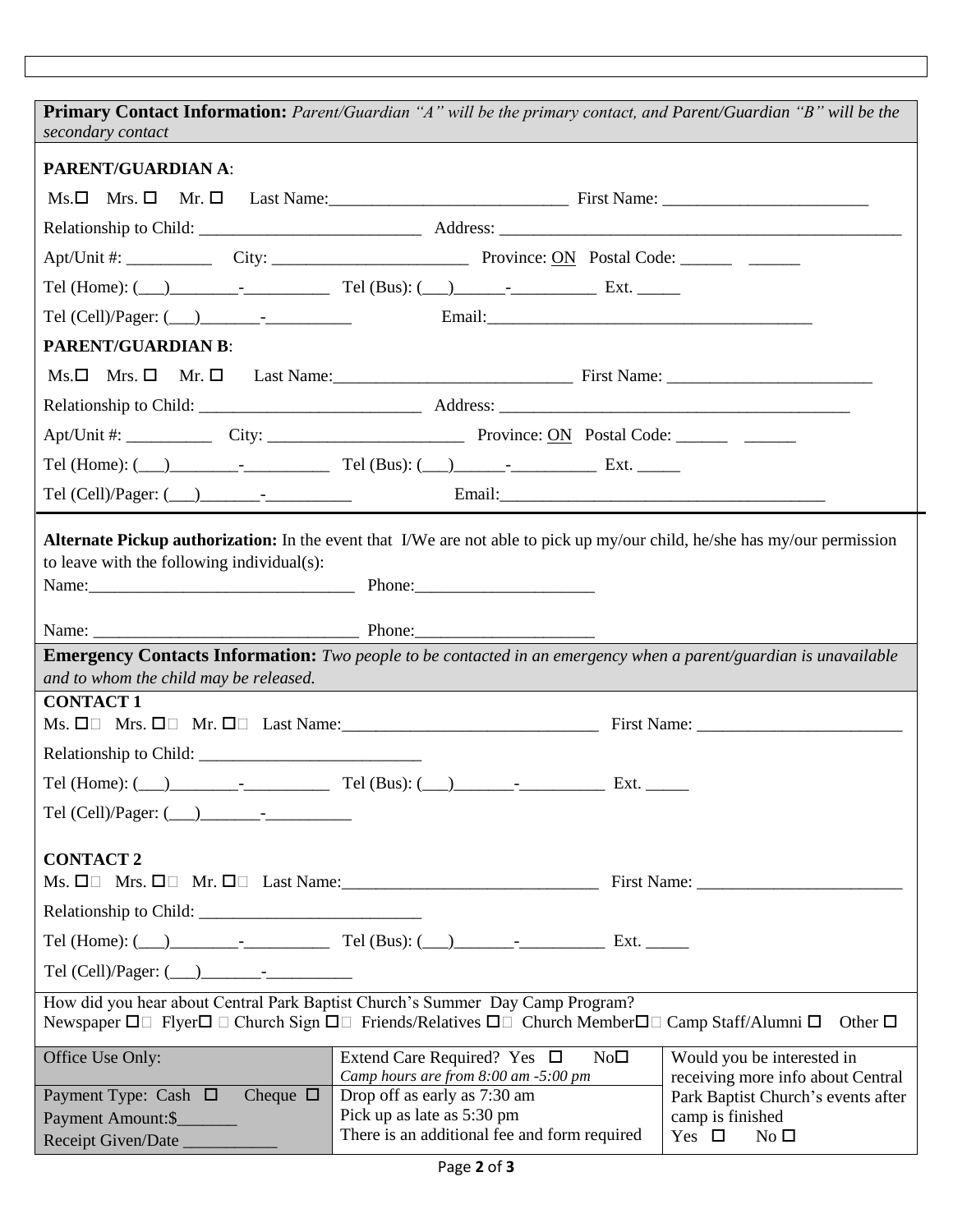**Primary Contact Information:** *Parent/Guardian "A" will be the primary contact, and Parent/Guardian "B" will be the secondary contact* **PARENT/GUARDIAN A**:  $Ms. \Box$  Mrs.  $\Box$  Mr.  $\Box$  Last Name:  $\Box$  First Name: Relationship to Child: \_\_\_\_\_\_\_\_\_\_\_\_\_\_\_\_\_\_\_\_\_\_\_\_\_\_ Address: \_\_\_\_\_\_\_\_\_\_\_\_\_\_\_\_\_\_\_\_\_\_\_\_\_\_\_\_\_\_\_\_\_\_\_\_\_\_\_\_\_\_\_\_\_\_\_ Apt/Unit #: \_\_\_\_\_\_\_\_\_\_ City: \_\_\_\_\_\_\_\_\_\_\_\_\_\_\_\_\_\_\_\_\_\_\_ Province: ON Postal Code: \_\_\_\_\_\_ \_\_\_\_\_\_ Tel (Home):  $(\_\_\_\_\_\_\_$ . Tel (Cell)/Pager: ( ) - Tel (Cell)/Pager: ( ) - Email:\_\_\_\_\_\_\_\_\_\_\_\_\_\_\_\_\_\_\_\_\_\_\_\_\_\_ **PARENT/GUARDIAN B**: Ms. Mrs. Mr. Last Name:\_\_\_\_\_\_\_\_\_\_\_\_\_\_\_\_\_\_\_\_\_\_\_\_\_\_\_\_ First Name: \_\_\_\_\_\_\_\_\_\_\_\_\_\_\_\_\_\_\_\_\_\_\_\_ Relationship to Child:  $\blacksquare$ Apt/Unit #: \_\_\_\_\_\_\_\_\_\_ City: \_\_\_\_\_\_\_\_\_\_\_\_\_\_\_\_\_\_\_\_\_\_\_ Province: ON Postal Code: \_\_\_\_\_\_ \_\_\_\_\_\_ Tel (Home): (\_\_\_)\_\_\_\_\_\_\_\_-\_\_\_\_\_\_\_\_\_\_ Tel (Bus): (\_\_\_)\_\_\_\_\_\_-\_\_\_\_\_\_\_\_\_\_ Ext. \_\_\_\_\_ Tel (Cell)/Pager: (\_\_\_)\_\_\_\_\_\_\_-\_\_\_\_\_\_\_\_\_\_ Email:\_\_\_\_\_\_\_\_\_\_\_\_\_\_\_\_\_\_\_\_\_\_\_\_\_\_\_\_\_\_\_\_\_\_\_\_\_\_ **Alternate Pickup authorization:** In the event that I/We are not able to pick up my/our child, he/she has my/our permission to leave with the following individual(s): Name: The Phone: Name: \_\_\_\_\_\_\_\_\_\_\_\_\_\_\_\_\_\_\_\_\_\_\_\_\_\_\_\_\_\_\_ Phone:\_\_\_\_\_\_\_\_\_\_\_\_\_\_\_\_\_\_\_\_\_ **Emergency Contacts Information:** *Two people to be contacted in an emergency when a parent/guardian is unavailable and to whom the child may be released.* **CONTACT 1** Ms. Mrs. Mr. Last Name:\_\_\_\_\_\_\_\_\_\_\_\_\_\_\_\_\_\_\_\_\_\_\_\_\_\_\_\_\_\_ First Name: \_\_\_\_\_\_\_\_\_\_\_\_\_\_\_\_\_\_\_\_\_\_\_\_ Relationship to Child: \_\_\_\_\_\_\_\_\_\_\_\_\_\_\_\_\_\_\_\_\_\_\_\_\_\_  $Tel$  (Home): (  $\qquad$  )  $\qquad$  -  $\qquad$  Tel (Bus): (  $\qquad$  )  $\qquad$  -  $\qquad$  Ext. Tel (Cell)/Pager: (\_\_\_)\_\_\_\_\_\_\_-\_\_\_\_\_\_\_\_\_\_ **CONTACT 2**  $Ms. \ \Box \Box \quad Mrs. \ \Box \Box \quad Mr. \ \Box \Box \quad Last \ Name:$  First Name: Relationship to Child: \_\_\_\_\_\_\_\_\_\_\_\_\_\_\_\_\_\_\_\_\_\_\_\_\_\_ Tel (Home): (\_\_\_)\_\_\_\_\_\_\_\_-\_\_\_\_\_\_\_\_\_\_ Tel (Bus): (\_\_\_)\_\_\_\_\_\_\_-\_\_\_\_\_\_\_\_\_\_ Ext. \_\_\_\_\_ Tel (Cell)/Pager: (\_\_\_)\_\_\_\_\_\_\_-\_\_\_\_\_\_\_\_\_\_ How did you hear about Central Park Baptist Church's Summer Day Camp Program? Newspaper  $\Box \Box$  Flyer  $\Box \Box$  Church Sign  $\Box \Box$  Friends/Relatives  $\Box \Box$  Church Member  $\Box \Box$  Camp Staff/Alumni  $\Box$  Other  $\Box$ Office Use Only: Extend Care Required? Yes  $\square$  No $\square$ *Camp hours are from 8:00 am -5:00 pm* Would you be interested in receiving more info about Central Park Baptist Church's events after camp is finished Yes  $\square$  No  $\square$ Payment Type: Cash  $\Box$  Cheque  $\Box$ Payment Amount:\$\_\_\_\_\_\_\_ Receipt Given/Date Drop off as early as 7:30 am Pick up as late as 5:30 pm There is an additional fee and form required